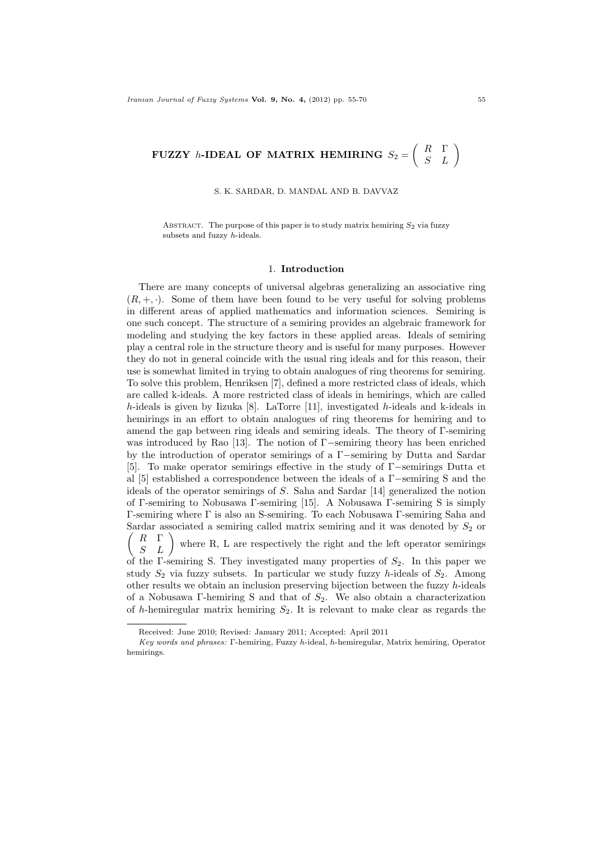# FUZZY *h*-IDEAL OF MATRIX HEMIRING  $S_2 = \begin{pmatrix} R & \Gamma \ S & L \end{pmatrix}$

S. K. SARDAR, D. MANDAL AND B. DAVVAZ

ABSTRACT. The purpose of this paper is to study matrix hemiring  $S_2$  via fuzzy subsets and fuzzy h-ideals.

### 1. Introduction

There are many concepts of universal algebras generalizing an associative ring  $(R, +, \cdot)$ . Some of them have been found to be very useful for solving problems in different areas of applied mathematics and information sciences. Semiring is one such concept. The structure of a semiring provides an algebraic framework for modeling and studying the key factors in these applied areas. Ideals of semiring play a central role in the structure theory and is useful for many purposes. However they do not in general coincide with the usual ring ideals and for this reason, their use is somewhat limited in trying to obtain analogues of ring theorems for semiring. To solve this problem, Henriksen [7], defined a more restricted class of ideals, which are called k-ideals. A more restricted class of ideals in hemirings, which are called h-ideals is given by Iizuka [8]. LaTorre [11], investigated h-ideals and k-ideals in hemirings in an effort to obtain analogues of ring theorems for hemiring and to amend the gap between ring ideals and semiring ideals. The theory of Γ-semiring was introduced by Rao [13]. The notion of Γ−semiring theory has been enriched by the introduction of operator semirings of a Γ−semiring by Dutta and Sardar [5]. To make operator semirings effective in the study of Γ−semirings Dutta et al [5] established a correspondence between the ideals of a Γ−semiring S and the ideals of the operator semirings of S. Saha and Sardar [14] generalized the notion of Γ-semiring to Nobusawa Γ-semiring [15]. A Nobusawa Γ-semiring S is simply Γ-semiring where Γ is also an S-semiring. To each Nobusawa Γ-semiring Saha and  $\sqrt{ }$ Sardar associated a semiring called matrix semiring and it was denoted by  $S_2$  or  $\begin{array}{cc} R & \Gamma \\ S & L \end{array}$ where R, L are respectively the right and the left operator semirings of the Γ-semiring S. They investigated many properties of  $S_2$ . In this paper we study  $S_2$  via fuzzy subsets. In particular we study fuzzy h-ideals of  $S_2$ . Among other results we obtain an inclusion preserving bijection between the fuzzy  $h$ -ideals of a Nobusawa Γ-hemiring S and that of  $S_2$ . We also obtain a characterization of h-hemiregular matrix hemiring  $S_2$ . It is relevant to make clear as regards the

Received: June 2010; Revised: January 2011; Accepted: April 2011

Key words and phrases: Γ-hemiring, Fuzzy h-ideal, h-hemiregular, Matrix hemiring, Operator hemirings.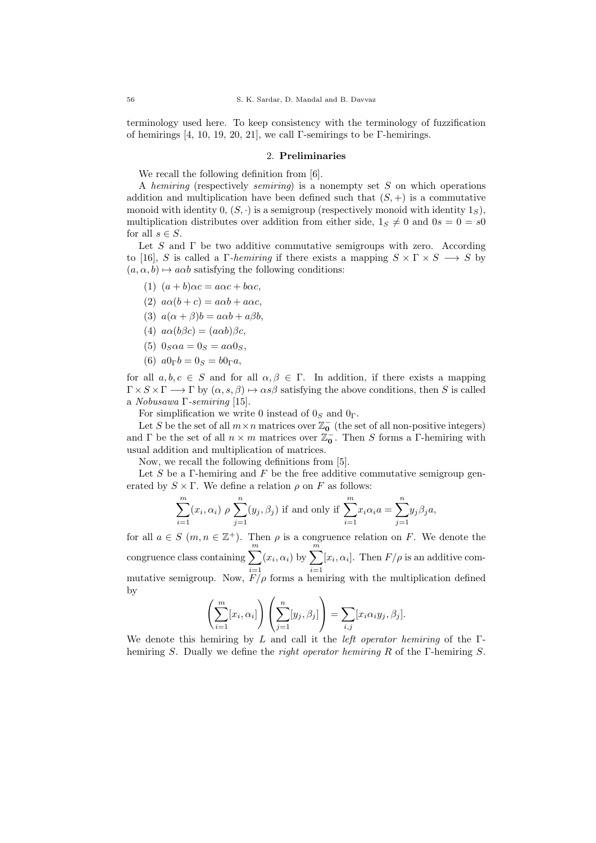terminology used here. To keep consistency with the terminology of fuzzification of hemirings  $[4, 10, 19, 20, 21]$ , we call Γ-semirings to be Γ-hemirings.

## 2. Preliminaries

We recall the following definition from [6].

A hemiring (respectively semiring) is a nonempty set  $S$  on which operations addition and multiplication have been defined such that  $(S, +)$  is a commutative monoid with identity  $0, (S, \cdot)$  is a semigroup (respectively monoid with identity  $1_S$ ), multiplication distributes over addition from either side,  $1_S \neq 0$  and  $0s = 0 = s0$ for all  $s \in S$ .

Let S and  $\Gamma$  be two additive commutative semigroups with zero. According to [16], S is called a Γ-hemiring if there exists a mapping  $S \times \Gamma \times S \longrightarrow S$  by  $(a, \alpha, b) \mapsto a\alpha b$  satisfying the following conditions:

- (1)  $(a + b)\alpha c = a\alpha c + b\alpha c$ .
- (2)  $a\alpha(b+c) = a\alpha b + a\alpha c$
- (3)  $a(\alpha + \beta)b = a\alpha b + a\beta b$ ,
- (4)  $a\alpha(b\beta c) = (a\alpha b)\beta c$ ,
- (5)  $0_S \alpha a = 0_S = a \alpha 0_S$ ,
- (6)  $a0_{\Gamma}b = 0_S = b0_{\Gamma}a$ ,

for all  $a, b, c \in S$  and for all  $\alpha, \beta \in \Gamma$ . In addition, if there exists a mapping  $\Gamma \times S \times \Gamma \longrightarrow \Gamma$  by  $(\alpha, s, \beta) \mapsto \alpha s \beta$  satisfying the above conditions, then S is called a Nobusawa Γ-semiring [15].

For simplification we write 0 instead of  $0_S$  and  $0_\Gamma$ .

Let S be the set of all  $m \times n$  matrices over  $\mathbb{Z}_0^-$  (the set of all non-positive integers) and  $\Gamma$  be the set of all  $n \times m$  matrices over  $\mathbb{Z}_{0}^{-}$ . Then S forms a  $\Gamma$ -hemiring with usual addition and multiplication of matrices.

Now, we recall the following definitions from [5].

Let S be a Γ-hemiring and F be the free additive commutative semigroup generated by  $S \times \Gamma$ . We define a relation  $\rho$  on F as follows:

$$
\sum_{i=1}^{m} (x_i, \alpha_i) \rho \sum_{j=1}^{n} (y_j, \beta_j)
$$
 if and only if 
$$
\sum_{i=1}^{m} x_i \alpha_i a = \sum_{j=1}^{n} y_j \beta_j a
$$
,

for all  $a \in S$   $(m, n \in \mathbb{Z}^+)$ . Then  $\rho$  is a congruence relation on F. We denote the congruence class containing  $\sum_{m=1}^{m}$  $i=1$  $(x_i, \alpha_i)$  by  $\sum^m$  $i=1$  $[x_i, \alpha_i]$ . Then  $F/\rho$  is an additive commutative semigroup. Now,  $F/\rho$  forms a hemiring with the multiplication defined by

$$
\left(\sum_{i=1}^m [x_i, \alpha_i]\right)\left(\sum_{j=1}^n [y_j, \beta_j]\right) = \sum_{i,j} [x_i \alpha_i y_j, \beta_j].
$$

We denote this hemiring by L and call it the *left operator hemiring* of the  $\Gamma$ hemiring S. Dually we define the right operator hemiring R of the Γ-hemiring S.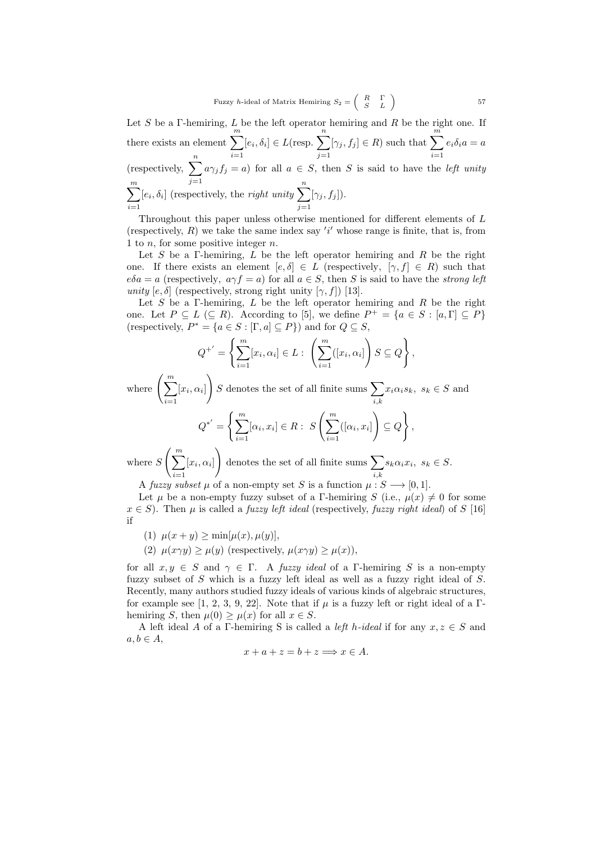Fuzzy *h*-ideal of Matrix Hemiring 
$$
S_2 = \begin{pmatrix} R & \Gamma \\ S & L \end{pmatrix}
$$
 57

Let S be a Γ-hemiring, L be the left operator hemiring and R be the right one. If there exists an element  $\sum_{m=1}^{m}$  $i=1$  $[e_i, \delta_i] \in L(\text{resp. } \sum^n)$  $j=1$  $[\gamma_j, f_j] \in R$ ) such that  $\sum_{n=1}^{\infty}$  $i=1$  $e_i\delta_i a = a$ (respectively,  $\sum_{n=1}^n$  $j=1$  $a\gamma_j f_j = a$ ) for all  $a \in S$ , then S is said to have the *left unity*  $\sum_{ }^{\infty}$  $\frac{i=1}{i}$  $[e_i, \delta_i]$  (respectively, the *right unity*  $\sum_{i=1}^n$  $j=1$  $[\gamma_j, f_j]$ ).

Throughout this paper unless otherwise mentioned for different elements of L (respectively,  $R$ ) we take the same index say 'i' whose range is finite, that is, from 1 to  $n$ , for some positive integer  $n$ .

Let S be a Γ-hemiring, L be the left operator hemiring and R be the right one. If there exists an element  $[e, \delta] \in L$  (respectively,  $[\gamma, f] \in R$ ) such that  $e\delta a = a$  (respectively,  $a\gamma f = a$ ) for all  $a \in S$ , then S is said to have the *strong left* unity  $[e, \delta]$  (respectively, strong right unity  $[\gamma, f]$ ) [13].

Let S be a Γ-hemiring, L be the left operator hemiring and R be the right one. Let  $P \subseteq L \subseteq R$ ). According to [5], we define  $P^+ = \{a \in S : [a, \Gamma] \subseteq P\}$ (respectively,  $P^* = \{a \in S : [\Gamma, a] \subseteq P\}$ ) and for  $Q \subseteq S$ ,

$$
Q^{+'} = \left\{ \sum_{i=1}^{m} [x_i, \alpha_i] \in L : \left( \sum_{i=1}^{m} ([x_i, \alpha_i] \right) S \subseteq Q \right\},\
$$

where  $\left(\sum_{m=1}^{\infty} \right)$  $i=1$  $[x_i, \alpha_i]$  $\left\{S \right\}$  denotes the set of all finite sums  $\sum$ i,k  $x_i \alpha_i s_k, s_k \in S$  and

$$
Q^{*'} = \left\{ \sum_{i=1}^{m} [\alpha_i, x_i] \in R : S\left(\sum_{i=1}^{m} ([\alpha_i, x_i])\right) \subseteq Q \right\},\
$$

where  $S\left(\sum_{i=1}^m a_i\right)$  $i=1$  $[x_i,\alpha_i]$  $\Big)$  denotes the set of all finite sums  $\sum$ i,k  $s_k \alpha_i x_i, s_k \in S.$ 

A fuzzy subset  $\mu$  of a non-empty set S is a function  $\mu: S \longrightarrow [0, 1]$ .

Let  $\mu$  be a non-empty fuzzy subset of a Γ-hemiring S (i.e.,  $\mu(x) \neq 0$  for some  $x \in S$ ). Then  $\mu$  is called a *fuzzy left ideal* (respectively, *fuzzy right ideal*) of S [16] if

- (1)  $\mu(x + y) > \min[\mu(x), \mu(y)],$
- (2)  $\mu(x\gamma y) \geq \mu(y)$  (respectively,  $\mu(x\gamma y) \geq \mu(x)$ ),

for all  $x, y \in S$  and  $\gamma \in \Gamma$ . A fuzzy ideal of a Γ-hemiring S is a non-empty fuzzy subset of S which is a fuzzy left ideal as well as a fuzzy right ideal of S. Recently, many authors studied fuzzy ideals of various kinds of algebraic structures, for example see [1, 2, 3, 9, 22]. Note that if  $\mu$  is a fuzzy left or right ideal of a Γhemiring S, then  $\mu(0) \geq \mu(x)$  for all  $x \in S$ .

A left ideal A of a Γ-hemiring S is called a *left h-ideal* if for any  $x, z \in S$  and  $a, b \in A$ ,

$$
x + a + z = b + z \Longrightarrow x \in A.
$$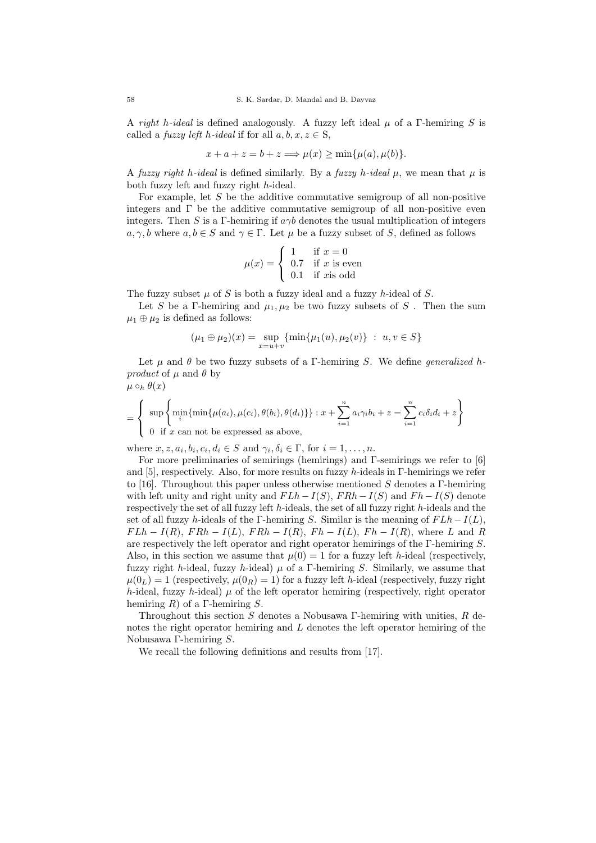A right h-ideal is defined analogously. A fuzzy left ideal  $\mu$  of a Γ-hemiring S is called a *fuzzy left h-ideal* if for all  $a, b, x, z \in S$ ,

$$
x + a + z = b + z \Longrightarrow \mu(x) \ge \min\{\mu(a), \mu(b)\}.
$$

A fuzzy right h-ideal is defined similarly. By a fuzzy h-ideal  $\mu$ , we mean that  $\mu$  is both fuzzy left and fuzzy right h-ideal.

For example, let  $S$  be the additive commutative semigroup of all non-positive integers and  $\Gamma$  be the additive commutative semigroup of all non-positive even integers. Then S is a Γ-hemiring if  $a\gamma b$  denotes the usual multiplication of integers  $a, \gamma, b$  where  $a, b \in S$  and  $\gamma \in \Gamma$ . Let  $\mu$  be a fuzzy subset of S, defined as follows

$$
\mu(x) = \begin{cases} 1 & \text{if } x = 0 \\ 0.7 & \text{if } x \text{ is even} \\ 0.1 & \text{if } x \text{is odd} \end{cases}
$$

The fuzzy subset  $\mu$  of S is both a fuzzy ideal and a fuzzy h-ideal of S.

Let S be a Γ-hemiring and  $\mu_1, \mu_2$  be two fuzzy subsets of S. Then the sum  $\mu_1 \oplus \mu_2$  is defined as follows:

$$
(\mu_1 \oplus \mu_2)(x) = \sup_{x=u+v} \{ \min \{ \mu_1(u), \mu_2(v) \} : u, v \in S \}
$$

Let  $\mu$  and  $\theta$  be two fuzzy subsets of a Γ-hemiring S. We define generalized hproduct of  $\mu$  and  $\theta$  by  $\mu\circ_h\theta(x)$ 

$$
= \left\{\begin{array}{l}\sup\left\{\min_{i}\{\min\{\mu(a_i),\mu(c_i),\theta(b_i),\theta(d_i)\}\}\right\}: x + \sum_{i=1}^n a_i\gamma_i b_i + z = \sum_{i=1}^n c_i\delta_i d_i + z\right\} \\0 \text{ if } x \text{ can not be expressed as above,}\end{array}\right\}
$$

where  $x, z, a_i, b_i, c_i, d_i \in S$  and  $\gamma_i, \delta_i \in \Gamma$ , for  $i = 1, ..., n$ .

For more preliminaries of semirings (hemirings) and Γ-semirings we refer to [6] and [5], respectively. Also, for more results on fuzzy h-ideals in Γ-hemirings we refer to [16]. Throughout this paper unless otherwise mentioned  $S$  denotes a  $\Gamma$ -hemiring with left unity and right unity and  $FLh-I(S)$ ,  $FRh-I(S)$  and  $Fh-I(S)$  denote respectively the set of all fuzzy left h-ideals, the set of all fuzzy right h-ideals and the set of all fuzzy h-ideals of the Γ-hemiring S. Similar is the meaning of  $FLh-I(L)$ ,  $FLh - I(R)$ ,  $FRh - I(L)$ ,  $FRh - I(R)$ ,  $Fh - I(L)$ ,  $Fh - I(R)$ , where L and R are respectively the left operator and right operator hemirings of the Γ-hemiring S. Also, in this section we assume that  $\mu(0) = 1$  for a fuzzy left h-ideal (respectively, fuzzy right h-ideal, fuzzy h-ideal)  $\mu$  of a Γ-hemiring S. Similarly, we assume that  $\mu(0_L) = 1$  (respectively,  $\mu(0_R) = 1$ ) for a fuzzy left h-ideal (respectively, fuzzy right h-ideal, fuzzy h-ideal)  $\mu$  of the left operator hemiring (respectively, right operator hemiring R) of a Γ-hemiring S.

Throughout this section  $S$  denotes a Nobusawa Γ-hemiring with unities,  $R$  denotes the right operator hemiring and L denotes the left operator hemiring of the Nobusawa Γ-hemiring S.

We recall the following definitions and results from [17].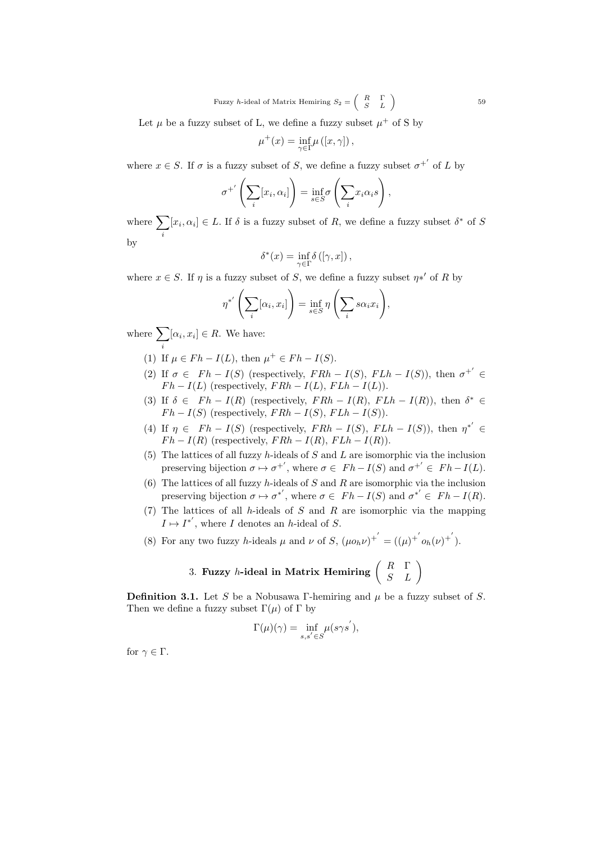Let  $\mu$  be a fuzzy subset of L, we define a fuzzy subset  $\mu^+$  of S by

$$
\mu^+(x) = \inf_{\gamma \in \Gamma} \mu([x, \gamma]),
$$

where  $x \in S$ . If  $\sigma$  is a fuzzy subset of S, we define a fuzzy subset  $\sigma^{+'}$  of L by

$$
\sigma^{+'}\left(\sum_{i}[x_i,\alpha_i]\right)=\inf_{s\in S}\sigma\left(\sum_{i}x_i\alpha_is\right),\,
$$

where  $\sum$ i  $[x_i, \alpha_i] \in L$ . If  $\delta$  is a fuzzy subset of R, we define a fuzzy subset  $\delta^*$  of S by

$$
\delta^*(x) = \inf_{\gamma \in \Gamma} \delta([\gamma, x]),
$$

where  $x \in S$ . If  $\eta$  is a fuzzy subset of S, we define a fuzzy subset  $\eta *'$  of R by

$$
\eta^{*'}\left(\sum_{i} [\alpha_i, x_i]\right) = \inf_{s \in S} \eta\left(\sum_{i} s\alpha_i x_i\right),\,
$$

where  $\sum$ i  $[\alpha_i, x_i] \in R$ . We have:

- (1) If  $\mu \in F h I(L)$ , then  $\mu^+ \in F h I(S)$ .
- (2) If  $\sigma \in F h I(S)$  (respectively,  $FRh I(S)$ ,  $FLh I(S)$ ), then  $\sigma^{+'} \in$  $Fh - I(L)$  (respectively,  $FRh - I(L)$ ,  $FLh - I(L)$ ).
- (3) If  $\delta \in F h I(R)$  (respectively,  $FRh I(R)$ ,  $FLh I(R)$ ), then  $\delta^* \in$  $F h - I(S)$  (respectively,  $F R h - I(S)$ ,  $F L h - I(S)$ ).
- (4) If  $\eta \in F h I(S)$  (respectively,  $FR h I(S)$ ,  $FL h I(S)$ ), then  $\eta^{*'} \in$  $Fh - I(R)$  (respectively,  $FRh - I(R)$ ,  $FLh - I(R)$ ).
- (5) The lattices of all fuzzy h-ideals of  $S$  and  $L$  are isomorphic via the inclusion preserving bijection  $\sigma \mapsto \sigma^{+'}$ , where  $\sigma \in F h - I(S)$  and  $\sigma^{+'} \in F h - I(L)$ .
- (6) The lattices of all fuzzy h-ideals of S and R are isomorphic via the inclusion preserving bijection  $\sigma \mapsto \sigma^{*'}$ , where  $\sigma \in F h - I(S)$  and  $\sigma^{*'} \in F h - I(R)$ .
- (7) The lattices of all h-ideals of  $S$  and  $R$  are isomorphic via the mapping  $I \mapsto I^{*'}$ , where I denotes an h-ideal of S.
- (8) For any two fuzzy h-ideals  $\mu$  and  $\nu$  of  $S$ ,  $(\mu o_h \nu)^{+'} = ((\mu)^{+'} o_h(\nu)^{+'})$ .

# 3. Fuzzy *h*-ideal in Matrix Hemiring  $\left(\begin{array}{cc} R & \Gamma \ S & L \end{array}\right)$

**Definition 3.1.** Let S be a Nobusawa Γ-hemiring and  $\mu$  be a fuzzy subset of S. Then we define a fuzzy subset  $\Gamma(\mu)$  of  $\Gamma$  by

$$
\Gamma(\mu)(\gamma) = \inf_{s,s' \in S} \mu(s\gamma s'),
$$

for  $\gamma \in \Gamma$ .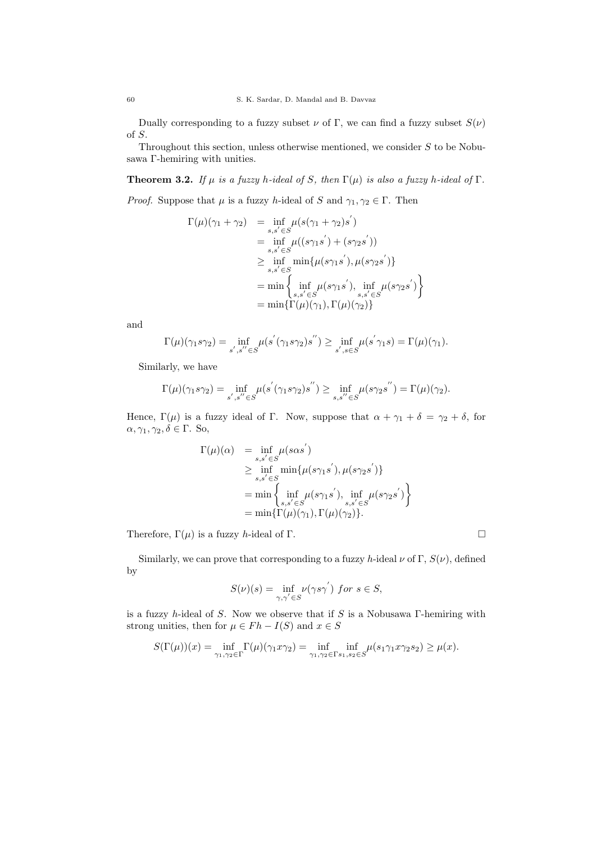Dually corresponding to a fuzzy subset  $\nu$  of Γ, we can find a fuzzy subset  $S(\nu)$ of S.

Throughout this section, unless otherwise mentioned, we consider  $S$  to be Nobusawa Γ-hemiring with unities.

**Theorem 3.2.** If  $\mu$  is a fuzzy h-ideal of S, then  $\Gamma(\mu)$  is also a fuzzy h-ideal of  $\Gamma$ .

*Proof.* Suppose that  $\mu$  is a fuzzy h-ideal of S and  $\gamma_1, \gamma_2 \in \Gamma$ . Then

$$
\Gamma(\mu)(\gamma_1 + \gamma_2) = \inf_{s,s' \in S} \mu(s(\gamma_1 + \gamma_2)s')
$$
  
\n
$$
= \inf_{s,s' \in S} \mu((s\gamma_1s') + (s\gamma_2s'))
$$
  
\n
$$
\geq \inf_{s,s' \in S} \min{\{\mu(s\gamma_1s'), \mu(s\gamma_2s')\}}
$$
  
\n
$$
= \min \left\{ \inf_{s,s' \in S} \mu(s\gamma_1s'), \inf_{s,s' \in S} \mu(s\gamma_2s') \right\}
$$
  
\n
$$
= \min{\{\Gamma(\mu)(\gamma_1), \Gamma(\mu)(\gamma_2)\}}
$$

and

$$
\Gamma(\mu)(\gamma_1 s \gamma_2) = \inf_{s',s'' \in S} \mu(s'(\gamma_1 s \gamma_2) s'') \ge \inf_{s',s \in S} \mu(s' \gamma_1 s) = \Gamma(\mu)(\gamma_1).
$$

Similarly, we have

$$
\Gamma(\mu)(\gamma_1 s \gamma_2) = \inf_{s', s'' \in S} \mu(s'(\gamma_1 s \gamma_2) s'') \ge \inf_{s, s'' \in S} \mu(s \gamma_2 s'') = \Gamma(\mu)(\gamma_2).
$$

Hence,  $\Gamma(\mu)$  is a fuzzy ideal of Γ. Now, suppose that  $\alpha + \gamma_1 + \delta = \gamma_2 + \delta$ , for  $\alpha, \gamma_1, \gamma_2, \delta \in \Gamma$ . So,

$$
\Gamma(\mu)(\alpha) = \inf_{s,s' \in S} \mu(s\alpha s')
$$
\n
$$
\geq \inf_{s,s' \in S} \min \{ \mu(s\gamma_1 s'), \mu(s\gamma_2 s') \}
$$
\n
$$
= \min \left\{ \inf_{s,s' \in S} \mu(s\gamma_1 s'), \inf_{s,s' \in S} \mu(s\gamma_2 s') \right\}
$$
\n
$$
= \min \{\Gamma(\mu)(\gamma_1), \Gamma(\mu)(\gamma_2)\}.
$$

Therefore,  $\Gamma(\mu)$  is a fuzzy *h*-ideal of Γ.

Similarly, we can prove that corresponding to a fuzzy h-ideal 
$$
\nu
$$
 of  $\Gamma$ ,  $S(\nu)$ , defined by

$$
S(\nu)(s) = \inf_{\gamma,\gamma' \in S} \nu(\gamma s \gamma') \text{ for } s \in S,
$$

is a fuzzy h-ideal of S. Now we observe that if S is a Nobusawa  $\Gamma$ -hemiring with strong unities, then for  $\mu \in F h - I(S)$  and  $x \in S$ 

$$
S(\Gamma(\mu))(x) = \inf_{\gamma_1, \gamma_2 \in \Gamma} \Gamma(\mu)(\gamma_1 x \gamma_2) = \inf_{\gamma_1, \gamma_2 \in \Gamma} \inf_{s_1, s_2 \in S} \mu(s_1 \gamma_1 x \gamma_2 s_2) \ge \mu(x).
$$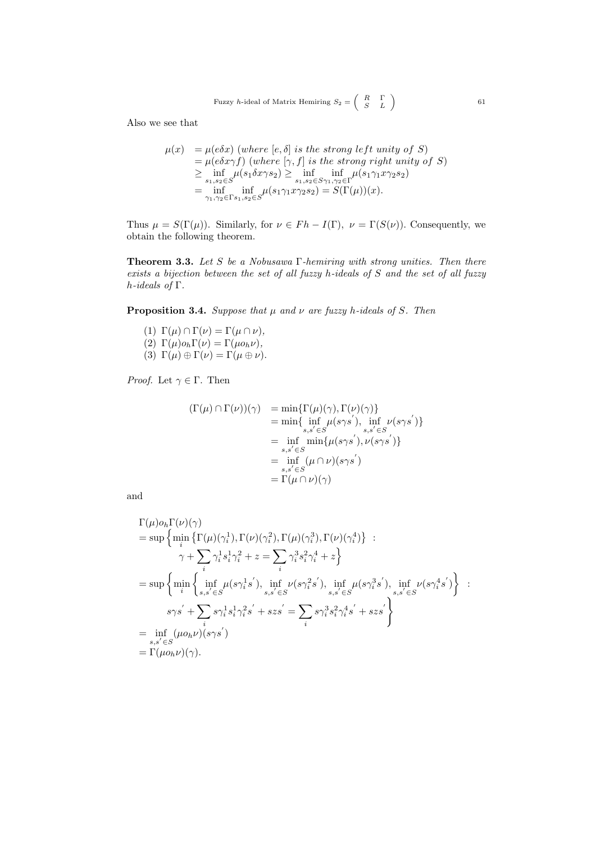Also we see that

$$
\mu(x) = \mu(e\delta x) \text{ (where } [e, \delta] \text{ is the strong left unity of } S)
$$
  
\n
$$
= \mu(e\delta x \gamma f) \text{ (where } [\gamma, f] \text{ is the strong right unity of } S)
$$
  
\n
$$
\geq \inf_{s_1, s_2 \in S} \mu(s_1 \delta x \gamma s_2) \geq \inf_{s_1, s_2 \in S} \inf_{\gamma_1, \gamma_2 \in \Gamma} \mu(s_1 \gamma_1 x \gamma_2 s_2)
$$
  
\n
$$
= \inf_{\gamma_1, \gamma_2 \in \Gamma s_1, s_2 \in S} \mu(s_1 \gamma_1 x \gamma_2 s_2) = S(\Gamma(\mu))(x).
$$

Thus  $\mu = S(\Gamma(\mu))$ . Similarly, for  $\nu \in F h - I(\Gamma)$ ,  $\nu = \Gamma(S(\nu))$ . Consequently, we obtain the following theorem.

**Theorem 3.3.** Let S be a Nobusawa  $\Gamma$ -hemiring with strong unities. Then there exists a bijection between the set of all fuzzy h-ideals of S and the set of all fuzzy h-ideals of Γ.

**Proposition 3.4.** Suppose that  $\mu$  and  $\nu$  are fuzzy h-ideals of S. Then

(1)  $\Gamma(\mu) \cap \Gamma(\nu) = \Gamma(\mu \cap \nu),$ (2)  $\Gamma(\mu) o_h \Gamma(\nu) = \Gamma(\mu o_h \nu),$ (3)  $\Gamma(\mu) \oplus \Gamma(\nu) = \Gamma(\mu \oplus \nu).$ 

*Proof.* Let  $\gamma \in \Gamma$ . Then

$$
(\Gamma(\mu) \cap \Gamma(\nu))(\gamma) = \min{\{\Gamma(\mu)(\gamma), \Gamma(\nu)(\gamma)\}\atop s,s' \in S} = \min{\{\inf_{s,s' \in S} \mu(s\gamma s'), \inf_{s,s' \in S} \nu(s\gamma s')\}\atop s,s' \in S} = \inf_{s,s' \in S} \min{\{\mu(s\gamma s'), \nu(s\gamma s')\}\atop s,s' \in S} = \prod_{s,s' \in S} (\mu \cap \nu)(s\gamma s')
$$

and

$$
\Gamma(\mu) o_h \Gamma(\nu)(\gamma)
$$
\n
$$
= \sup \left\{ \min_i \left\{ \Gamma(\mu)(\gamma_i^1), \Gamma(\nu)(\gamma_i^2), \Gamma(\mu)(\gamma_i^3), \Gamma(\nu)(\gamma_i^4) \right\} : \right. \n\gamma + \sum_i \gamma_i^1 s_i^1 \gamma_i^2 + z = \sum_i \gamma_i^3 s_i^2 \gamma_i^4 + z \right\}
$$
\n
$$
= \sup \left\{ \min_i \left\{ \inf_{s,s' \in S} \mu(s\gamma_i^1 s'), \inf_{s,s' \in S} \nu(s\gamma_i^2 s'), \inf_{s,s' \in S} \mu(s\gamma_i^3 s'), \inf_{s,s' \in S} \nu(s\gamma_i^4 s') \right\} : \right. \n\gamma s' + \sum_i s\gamma_i^1 s_i^1 \gamma_i^2 s' + szs' = \sum_i s\gamma_i^3 s_i^2 \gamma_i^4 s' + szs' \right\}
$$
\n
$$
= \inf_{s,s' \in S} (\mu o_h \nu)(s\gamma s')
$$
\n
$$
= \Gamma(\mu o_h \nu)(\gamma).
$$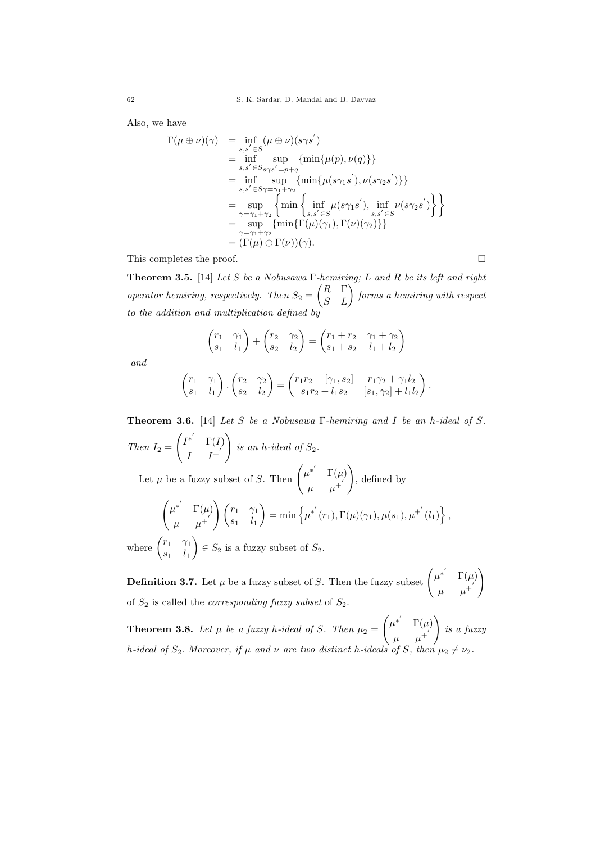Also, we have

$$
\Gamma(\mu \oplus \nu)(\gamma) = \inf_{s,s' \in S} (\mu \oplus \nu)(s\gamma s')
$$
\n
$$
= \inf_{s,s' \in S} \sup_{s\gamma s' = p+q} {\min{\{\mu(p), \nu(q)\}}}
$$
\n
$$
= \inf_{s,s' \in S\gamma = \gamma_1 + \gamma_2} {\min{\{\mu(s\gamma_1 s'), \nu(s\gamma_2 s')\}}}
$$
\n
$$
= \sup_{\gamma = \gamma_1 + \gamma_2} {\min{\{\inf_{s,s' \in S} \mu(s\gamma_1 s'), \inf_{s,s' \in S} \nu(s\gamma_2 s')\}}}
$$
\n
$$
= \sup_{\gamma = \gamma_1 + \gamma_2} {\min{\{\Gamma(\mu)(\gamma_1), \Gamma(\nu)(\gamma_2)\}}}
$$
\n
$$
= (\Gamma(\mu) \oplus \Gamma(\nu))(\gamma).
$$

This completes the proof.  $\Box$ 

**Theorem 3.5.** [14] Let S be a Nobusawa  $\Gamma$ -hemiring; L and R be its left and right operator hemiring, respectively. Then  $S_2 = \begin{pmatrix} R & \Gamma \\ S & L \end{pmatrix}$  forms a hemiring with respect to the addition and multiplication defined by

$$
\begin{pmatrix}\nr_1 & \gamma_1 \\
s_1 & l_1\n\end{pmatrix} + \begin{pmatrix}\nr_2 & \gamma_2 \\
s_2 & l_2\n\end{pmatrix} = \begin{pmatrix}\nr_1 + r_2 & \gamma_1 + \gamma_2 \\
s_1 + s_2 & l_1 + l_2\n\end{pmatrix}
$$

and

$$
\begin{pmatrix} r_1 & \gamma_1 \\ s_1 & l_1 \end{pmatrix} \cdot \begin{pmatrix} r_2 & \gamma_2 \\ s_2 & l_2 \end{pmatrix} = \begin{pmatrix} r_1r_2 + [\gamma_1, s_2] & r_1\gamma_2 + \gamma_1l_2 \\ s_1r_2 + l_1s_2 & [s_1, \gamma_2] + l_1l_2 \end{pmatrix}.
$$

**Theorem 3.6.** [14] Let S be a Nobusawa  $\Gamma$ -hemiring and I be an h-ideal of S. Then  $I_2 =$  $\left( I^{*^{'}} \quad \Gamma(I) \right)$  $I-I^+$  $\setminus$ is an h-ideal of  $S_2$ . Let  $\mu$  be a fuzzy subset of S. Then  $\begin{pmatrix} \mu^{*'} & \Gamma(\mu) \\ \vdots & \vdots \end{pmatrix}$  $\mu$   $\mu^+$  $\setminus$ , defined by  $\int \mu^{*'} \Gamma(\mu)$  $\begin{pmatrix} \mu^* & \Gamma(\mu) \ \mu & \mu^+ \end{pmatrix} \begin{pmatrix} r_1 & \gamma_1 \ s_1 & l_1 \end{pmatrix}$  $s_1$   $l_1$  $\Big) = \min \left\{ \mu^{*'}(r_1), \Gamma(\mu)(\gamma_1), \mu(s_1), \mu^{+'}(l_1) \right\},$ where  $\begin{pmatrix} r_1 & \gamma_1 \\ \gamma_1 & \gamma_1 \end{pmatrix}$  $s_1$   $l_1$  $\Big) \in S_2$  is a fuzzy subset of  $S_2$ .

**Definition 3.7.** Let  $\mu$  be a fuzzy subset of S. Then the fuzzy subset  $\begin{pmatrix} \mu^{*'} & \Gamma(\mu) \end{pmatrix}$  $\mu$   $\mu^+$  $\setminus$ of  $S_2$  is called the *corresponding fuzzy subset* of  $S_2$ .

**Theorem 3.8.** Let  $\mu$  be a fuzzy h-ideal of S. Then  $\mu_2 =$  $\int \mu^{*'} \Gamma(\mu)$  $\mu$   $\mu^+$  $\setminus$ is a fuzzy h-ideal of  $S_2$ . Moreover, if  $\mu$  and  $\nu$  are two distinct h-ideals of S, then  $\mu_2 \neq \nu_2$ .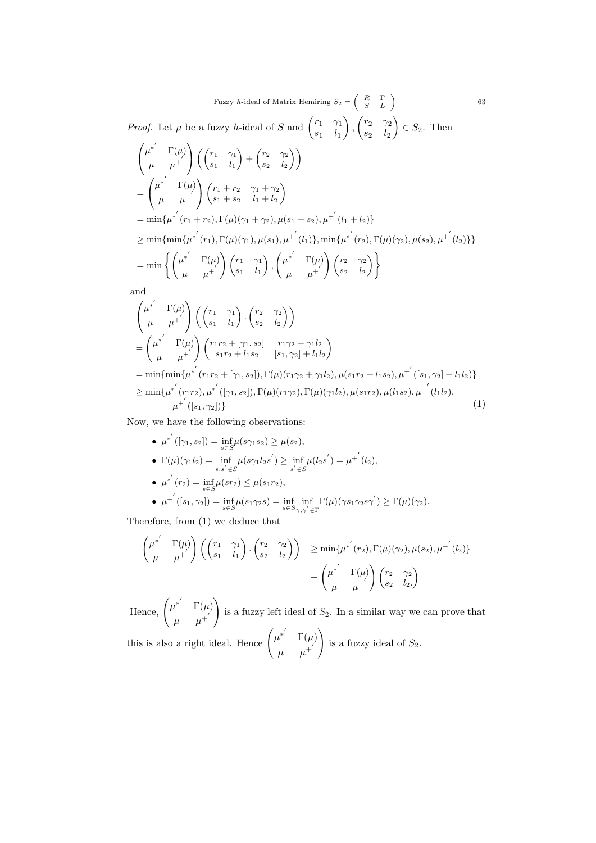*Proof.* Let  $\mu$  be a fuzzy *h*-ideal of S and  $\begin{pmatrix} r_1 & \gamma_1 \\ 0 & 1 \end{pmatrix}$  $s_1$   $l_1$ ),  $\begin{pmatrix} r_2 & \gamma_2 \\ \gamma_2 & \gamma_1 \end{pmatrix}$  $s_2$   $l_2$  $\Big) \in S_2$ . Then

$$
\begin{aligned}\n&\begin{pmatrix}\n\mu^{*'} & \Gamma(\mu) \\
\mu & \mu^{+'}\n\end{pmatrix}\n\begin{pmatrix}\n\binom{r_{1}}{s_{1}} & \binom{r_{2}}{s_{2}} & \binom{r_{2}}{s_{2}} \\
\binom{r_{3}}{s_{1}} & \binom{r_{1}+r_{2}}{s_{1}+s_{2}} & \binom{r_{1}+r_{2}}{s_{1}+s_{2}}\n\end{pmatrix} \\
&= \begin{pmatrix}\n\mu^{*'} & \Gamma(\mu) \\
\mu & \mu^{+'}\n\end{pmatrix}\n\begin{pmatrix}\nr_{1}+r_{2} & \gamma_{1}+ \gamma_{2} \\
s_{1}+s_{2} & l_{1}+l_{2}\n\end{pmatrix} \\
&= \min\{\mu^{*'}(r_{1}+r_{2}), \Gamma(\mu)(\gamma_{1}), \mu(s_{1}), \mu^{+'}(l_{1})\}, \min\{\mu^{*'}(r_{2}), \Gamma(\mu)(\gamma_{2}), \mu(s_{2}), \mu^{+'}(l_{2})\}\} \\
&= \min\left\{\begin{pmatrix}\n\mu^{*'} & \Gamma(\mu) \\
\mu & \mu^{+'}\n\end{pmatrix}\n\begin{pmatrix}\nr_{1} & \gamma_{1} \\
s_{1} & l_{1}\n\end{pmatrix}, \begin{pmatrix}\n\mu^{*'} & \Gamma(\mu) \\
\mu & \mu^{+'}\n\end{pmatrix}\n\begin{pmatrix}\nr_{2} & \gamma_{2} \\
s_{2} & l_{2}\n\end{pmatrix}\right\} \\
&\text{and} \\
\begin{pmatrix}\n\mu^{*'} & \Gamma(\mu) \\
\mu & \mu^{+'}\n\end{pmatrix}\n\begin{pmatrix}\n\binom{r_{1}}{s_{1}} & \binom{r_{2}}{s_{2}} & \binom{r_{2}}{s_{2}} \\
s_{2} & l_{2}\n\end{pmatrix} \\
&= \begin{pmatrix}\n\mu^{*'} & \Gamma(\mu) \\
\mu & \mu^{+'}\n\end{pmatrix}\n\begin{pmatrix}\nr_{1}r_{2} + \gamma_{1}, s_{2}\n\end{pmatrix} \n\begin{pmatrix}\nr_{1}r_{2} + \gamma_{1}l_{2}\n\end{pmatrix}\n\end{aligned}
$$

 $=\min\{\min\{\mu^{*^{'}}(r_{1}r_{2}+[\gamma_{1},s_{2}]),\Gamma(\mu)(r_{1}\gamma_{2}+\gamma_{1}l_{2}),\mu(s_{1}r_{2}+l_{1}s_{2}),\mu^{+^{'}}([s_{1},\gamma_{2}]+l_{1}l_{2})\}$  $\geq \min\{\mu^{*'}(r_1r_2),\mu^{*'}([\gamma_1,s_2]),\Gamma(\mu)(r_1\gamma_2),\Gamma(\mu)(\gamma_1l_2),\mu(s_1r_2),\mu(l_1s_2),\mu^{+'}(l_1l_2),\mu^{+'}(l_1s_2)\}$  $\mu^{+'}([s_1, \gamma_2])$  (1)

Now, we have the following observations:

\n- \n
$$
\mu^*([\gamma_1, s_2]) = \inf_{s \in S} \mu(s \gamma_1 s_2) \geq \mu(s_2),
$$
\n
\n- \n
$$
\Gamma(\mu)(\gamma_1 l_2) = \inf_{s, s' \in S} \mu(s \gamma_1 l_2 s') \geq \inf_{s' \in S} \mu(l_2 s') = \mu^*(l_2),
$$
\n
\n- \n
$$
\mu^*(r_2) = \inf_{s \in S} \mu(s r_2) \leq \mu(s_1 r_2),
$$
\n
\n- \n
$$
\mu^*([s_1, \gamma_2]) = \inf_{s \in S} \mu(s_1 \gamma_2 s) = \inf_{s \in S} \inf_{\gamma, \gamma' \in \Gamma} \Gamma(\mu)(\gamma s_1 \gamma_2 s \gamma') \geq \Gamma(\mu)(\gamma_2).
$$
\n
\n

 $s_1r_2 + l_1s_2$   $[s_1, \gamma_2] + l_1l_2$ 

Therefore, from (1) we deduce that

$$
\begin{pmatrix} \mu^{*'} & \Gamma(\mu) \\ \mu & \mu^{+'} \end{pmatrix} \left( \begin{pmatrix} r_1 & \gamma_1 \\ s_1 & l_1 \end{pmatrix} \cdot \begin{pmatrix} r_2 & \gamma_2 \\ s_2 & l_2 \end{pmatrix} \right) \ge \min{\{\mu^{*'}(r_2), \Gamma(\mu)(\gamma_2), \mu(s_2), \mu^{+'}(l_2)\}}
$$

$$
= \begin{pmatrix} \mu^{*'} & \Gamma(\mu) \\ \mu & \mu^{+'} \end{pmatrix} \begin{pmatrix} r_2 & \gamma_2 \\ s_2 & l_2 \end{pmatrix}
$$

Hence,  $\begin{pmatrix} \mu^{*'} & \Gamma(\mu) \\ 0 & \mu^{*'} \end{pmatrix}$  $\mu$   $\mu^+$  $\setminus$ is a fuzzy left ideal of  $S_2$ . In a similar way we can prove that this is also a right ideal. Hence  $\begin{pmatrix} \mu^{*'} & \Gamma(\mu) \\ \end{pmatrix}$  $\mu$   $\mu^+$  $\setminus$ is a fuzzy ideal of  $S_2$ .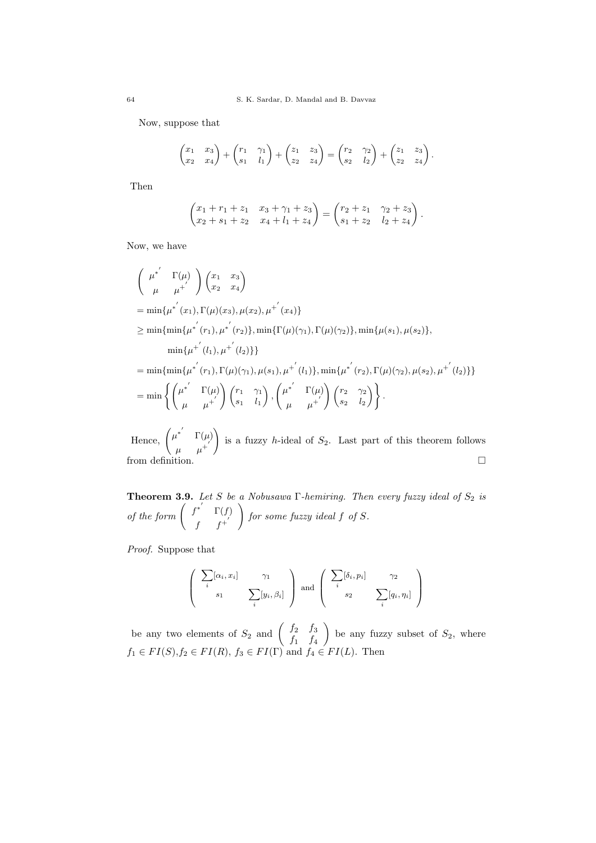Now, suppose that

$$
\begin{pmatrix} x_1 & x_3 \ x_2 & x_4 \end{pmatrix} + \begin{pmatrix} r_1 & \gamma_1 \ s_1 & l_1 \end{pmatrix} + \begin{pmatrix} z_1 & z_3 \ z_2 & z_4 \end{pmatrix} = \begin{pmatrix} r_2 & \gamma_2 \ s_2 & l_2 \end{pmatrix} + \begin{pmatrix} z_1 & z_3 \ z_2 & z_4 \end{pmatrix}.
$$

Then

$$
\begin{pmatrix} x_1 + r_1 + z_1 & x_3 + \gamma_1 + z_3 \\ x_2 + s_1 + z_2 & x_4 + l_1 + z_4 \end{pmatrix} = \begin{pmatrix} r_2 + z_1 & \gamma_2 + z_3 \\ s_1 + z_2 & l_2 + z_4 \end{pmatrix}.
$$

Now, we have

$$
\begin{aligned}\n&\left(\begin{array}{cc}\mu^{*'} & \Gamma(\mu) \\
\mu & \mu^{+'}\end{array}\right)\begin{pmatrix}x_1 & x_3 \\
x_2 & x_4\end{pmatrix} \\
&= \min\{\mu^{*'}(x_1), \Gamma(\mu)(x_3), \mu(x_2), \mu^{+'}(x_4)\} \\
&\geq \min\{\min\{\mu^{*'}(r_1), \mu^{*'}(r_2)\}, \min\{\Gamma(\mu)(\gamma_1), \Gamma(\mu)(\gamma_2)\}, \min\{\mu(s_1), \mu(s_2)\}, \\
&= \min\{\mu^{+'}(l_1), \mu^{+'}(l_2)\}\n\end{aligned}
$$
\n
$$
= \min\{\min\{\mu^{*'}(r_1), \Gamma(\mu)(\gamma_1), \mu(s_1), \mu^{+'}(l_1)\}, \min\{\mu^{*'}(r_2), \Gamma(\mu)(\gamma_2), \mu(s_2), \mu^{+'}(l_2)\}\}\n\\n= \min\left\{\begin{pmatrix}\mu^{*'} & \Gamma(\mu) \\
\mu & \mu^{+'}\end{pmatrix}\begin{pmatrix}r_1 & \gamma_1 \\
s_1 & l_1\end{pmatrix}, \begin{pmatrix}\mu^{*'} & \Gamma(\mu) \\
\mu & \mu^{+'}\end{pmatrix}\begin{pmatrix}r_2 & \gamma_2 \\
s_2 & l_2\end{pmatrix}\right\}.
$$

Hence,  $\begin{pmatrix} \mu^{*'} & \Gamma(\mu) \\ \end{pmatrix}$  $\mu$   $\mu^+$  $\setminus$ is a fuzzy *h*-ideal of  $S_2$ . Last part of this theorem follows from definition.

**Theorem 3.9.** Let S be a Nobusawa  $\Gamma$ -hemiring. Then every fuzzy ideal of  $S_2$  is of the form  $\begin{pmatrix} f^{*'} & \Gamma(f) \end{pmatrix}$  $f f^{+}$  $\setminus$ for some fuzzy ideal f of S.

Proof. Suppose that

$$
\left(\begin{array}{cc} \sum_{i} [\alpha_i, x_i] & \gamma_1 \\ s_1 & \sum_{i} [y_i, \beta_i] \end{array}\right) \text{ and } \left(\begin{array}{cc} \sum_{i} [\delta_i, p_i] & \gamma_2 \\ s_2 & \sum_{i} [q_i, \eta_i] \end{array}\right)
$$

be any two elements of  $S_2$  and  $\begin{pmatrix} f_2 & f_3 \\ f_4 & f_5 \end{pmatrix}$  $f_1$   $f_4$ be any fuzzy subset of  $S_2$ , where  $f_1 \in FI(S), f_2 \in FI(R), f_3 \in FI(\Gamma)$  and  $f_4 \in FI(L)$ . Then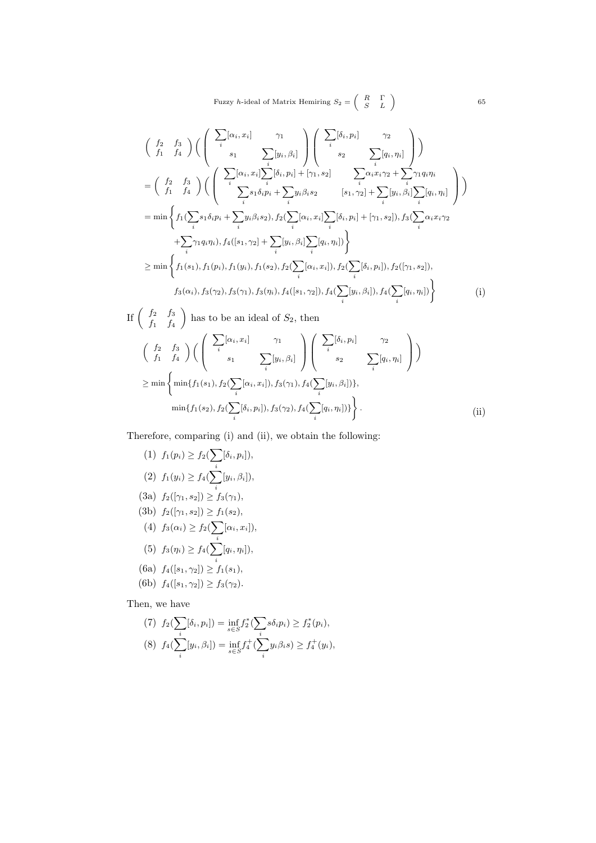$$
\begin{aligned}\n&\left(\begin{array}{cc} f_{2} & f_{3} \\ f_{1} & f_{4} \end{array}\right) \left(\begin{array}{c} \sum_{i} [\alpha_{i}, x_{i}] & \gamma_{1} \\ s_{1} & \sum_{i} [y_{i}, \beta_{i}] \end{array}\right) \left(\begin{array}{c} \sum_{i} [\delta_{i}, p_{i}] & \gamma_{2} \\ s_{2} & \sum_{i} [q_{i}, \eta_{i}] \end{array}\right) \\
&= \left(\begin{array}{cc} f_{2} & f_{3} \\ f_{1} & f_{4} \end{array}\right) \left(\begin{array}{c} \sum_{i} [\alpha_{i}, x_{i}] \sum_{i} [\delta_{i}, p_{i}] + [\gamma_{1}, s_{2}] & \sum_{i} \alpha_{i} x_{i} \gamma_{2} + \sum_{i} \gamma_{1} q_{i} \eta_{i} \\ \sum_{i} s_{1} \delta_{i} p_{i} + \sum_{i} y_{i} \beta_{i} s_{2} & [s_{1}, \gamma_{2}] + \sum_{i} [y_{i}, \beta_{i}] \sum_{i} [q_{i}, \eta_{i}] \end{array}\right) \\
&= \min \left\{ f_{1}(\sum_{i} s_{1} \delta_{i} p_{i} + \sum_{i} y_{i} \beta_{i} s_{2}), f_{2}(\sum_{i} [\alpha_{i}, x_{i}] \sum_{i} [\delta_{i}, p_{i}] + [\gamma_{1}, s_{2}]), f_{3}(\sum_{i} \alpha_{i} x_{i} \gamma_{2} + \sum_{i} \gamma_{1} q_{i} \eta_{i}), f_{4}([s_{1}, \gamma_{2}] + \sum_{i} [y_{i}, \beta_{i}] \sum_{i} [q_{i}, \eta_{i}]) \right\} \\
&\geq \min \left\{ f_{1}(s_{1}), f_{1}(p_{i}), f_{1}(y_{i}), f_{1}(s_{2}), f_{2}(\sum_{i} [\alpha_{i}, x_{i}]), f_{2}(\sum_{i} [\delta_{i}, p_{i}]), f_{2}([\gamma_{1}, s_{2}]), f_{3}(\alpha_{i}), f_{3}(\gamma_{2}), f_{3}(\gamma_{1}), f_{3}(\eta_{i}), f_{4}([s_{1}, \gamma_{2}]), f_{4}(\sum_{i} [y_{i}, \beta_{i}]), f_{4}(\sum_{i} [q_{i}, \eta_{i
$$

If 
$$
\begin{pmatrix} f_2 & f_3 \\ f_1 & f_4 \end{pmatrix}
$$
 has to be an ideal of  $S_2$ , then  
\n
$$
\begin{pmatrix} f_2 & f_3 \\ f_1 & f_4 \end{pmatrix} \left( \begin{pmatrix} \sum_i [\alpha_i, x_i] & \gamma_1 \\ \vdots & \sum_i [y_i, \beta_i] \end{pmatrix} \begin{pmatrix} \sum_i [\delta_i, p_i] & \gamma_2 \\ \vdots & \sum_i [q_i, \eta_i] \end{pmatrix} \right)
$$
\n
$$
\geq \min \left\{ \min \{ f_1(s_1), f_2(\sum_i [\alpha_i, x_i]), f_3(\gamma_1), f_4(\sum_i [y_i, \beta_i]) \},
$$
\n
$$
\min \{ f_1(s_2), f_2(\sum_i [\delta_i, p_i]), f_3(\gamma_2), f_4(\sum_i [q_i, \eta_i]) \} \right\}.
$$
\n(ii)

Therefore, comparing (i) and (ii), we obtain the following:

(1) 
$$
f_1(p_i) \ge f_2(\sum_i [\delta_i, p_i]),
$$
  
\n(2)  $f_1(y_i) \ge f_4(\sum_i [y_i, \beta_i]),$   
\n(3a)  $f_2([\gamma_1, s_2]) \ge f_3(\gamma_1),$   
\n(3b)  $f_2([\gamma_1, s_2]) \ge f_1(s_2),$   
\n(4)  $f_3(\alpha_i) \ge f_2(\sum_i [\alpha_i, x_i]),$   
\n(5)  $f_3(\eta_i) \ge f_4(\sum_i [q_i, \eta_i]),$   
\n(6a)  $f_4([s_1, \gamma_2]) \ge f_1(s_1),$   
\n(6b)  $f_4([s_1, \gamma_2]) \ge f_3(\gamma_2).$ 

Then, we have

(7) 
$$
f_2(\sum_i [\delta_i, p_i]) = \inf_{s \in S} f_2^*(\sum_i s \delta_i p_i) \ge f_2^*(p_i),
$$
  
\n(8)  $f_4(\sum_i [y_i, \beta_i]) = \inf_{s \in S} f_4^+(\sum_i y_i \beta_i s) \ge f_4^+(y_i),$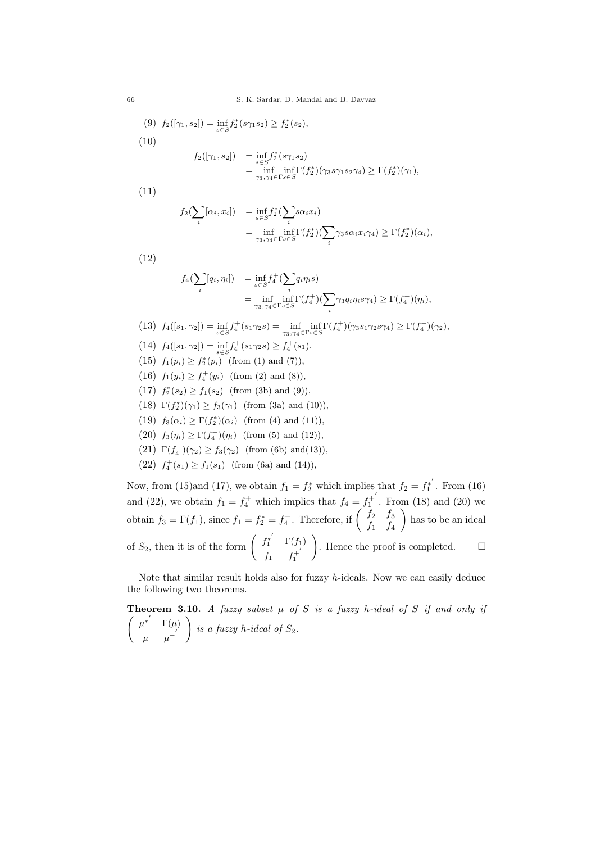66 S. K. Sardar, D. Mandal and B. Davvaz

(9) 
$$
f_2([\gamma_1, s_2]) = \inf_{s \in S} f_2^*(s\gamma_1 s_2) \ge f_2^*(s_2),
$$
  
\n(10)  
\n
$$
f_2([\gamma_1, s_2]) = \inf_{s \in S} f_2^*(s\gamma_1 s_2)
$$
\n
$$
= \inf_{\substack{\gamma_3, \gamma_4 \in \Gamma} s \in S} \inf_{s \in S} \Gamma(f_2^*)(\gamma_3 s \gamma_1 s_2 \gamma_4) \ge \Gamma(f_2^*)(\gamma_1),
$$

(11)

$$
f_2(\sum_i [\alpha_i, x_i]) = \inf_{s \in S} f_2^*(\sum_i s \alpha_i x_i)
$$
  
= 
$$
\inf_{\gamma_3, \gamma_4 \in \Gamma} \inf_{s \in S} \Gamma(f_2^*)(\sum_i \gamma_3 s \alpha_i x_i \gamma_4) \ge \Gamma(f_2^*)(\alpha_i),
$$

(12)

$$
f_4(\sum_i [q_i, \eta_i]) = \inf_{s \in S} f_4^+(\sum_i q_i \eta_i s)
$$
  
= 
$$
\inf_{\gamma_3, \gamma_4 \in \Gamma} \inf_{s \in S} \Gamma(f_4^+) (\sum_i \gamma_3 q_i \eta_i s \gamma_4) \ge \Gamma(f_4^+) (\eta_i),
$$

$$
(13) f_4([s_1, \gamma_2]) = \inf_{s \in S} f_4^+(s_1 \gamma_2 s) = \inf_{\gamma_3, \gamma_4 \in \Gamma} \inf_{s \in S} \Gamma(f_4^+) (\gamma_3 s_1 \gamma_2 s \gamma_4) \ge \Gamma(f_4^+) (\gamma_2),
$$

- (14)  $f_4([s_1, \gamma_2]) = \inf_{s \in S} f_4^+(s_1 \gamma_2 s) \ge f_4^+(s_1).$
- $(15)$   $f_1(p_i) \geq f_2^*(p_i)$  (from (1) and (7)),
- (16)  $f_1(y_i) \geq f_4^+(y_i)$  (from (2) and (8)),
- $(17)$   $f_2^*(s_2) \ge f_1(s_2)$  (from (3b) and (9)),
- (18)  $\Gamma(f_2^*)(\gamma_1) \ge f_3(\gamma_1)$  (from (3a) and (10)),
- (19)  $f_3(\alpha_i) \ge \Gamma(f_2^*)(\alpha_i)$  (from (4) and (11)),
- (20)  $f_3(\eta_i) \ge \Gamma(f_4^+)(\eta_i)$  (from (5) and (12)),
- (21)  $\Gamma(f_4^+)(\gamma_2) \ge f_3(\gamma_2)$  (from (6b) and (13)),
- (22)  $f_4^+(s_1) \ge f_1(s_1)$  (from (6a) and (14)),

Now, from (15)and (17), we obtain  $f_1 = f_2^*$  which implies that  $f_2 = f_1^{*'}$  $_{1}^{!*}$  . From  $(16)$ and (22), we obtain  $f_1 = f_4^+$  which implies that  $f_4 = f_1^{+'}$  $i_1^+$ . From (18) and (20) we obtain  $f_3 = \Gamma(f_1)$ , since  $f_1 = f_2^* = f_4^+$ . Therefore, if  $\begin{pmatrix} f_2 & f_3 \\ f_4 & f_5 \end{pmatrix}$  $f_1$   $f_4$  has to be an ideal of  $S_2$ , then it is of the form  $\begin{pmatrix} f_1^{*'} & \Gamma(f_1) \end{pmatrix}$  $f_1$   $f_1^{+}$ 1 ). Hence the proof is completed.  $\square$ 

Note that similar result holds also for fuzzy h-ideals. Now we can easily deduce the following two theorems.

**Theorem 3.10.** A fuzzy subset  $\mu$  of S is a fuzzy h-ideal of S if and only if  $\int \mu^{*'} \Gamma(\mu)$  $\mu$   $\mu^+$  $\setminus$ is a fuzzy h-ideal of  $S_2$ .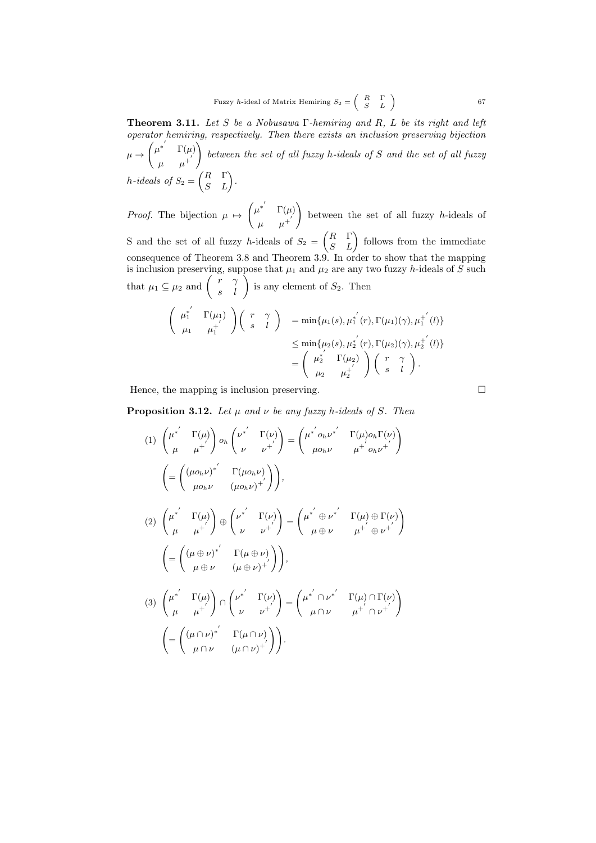**Theorem 3.11.** Let S be a Nobusawa  $\Gamma$ -hemiring and R, L be its right and left operator hemiring, respectively. Then there exists an inclusion preserving bijection  $\mu \rightarrow$  $\left(\mu^{*'}\right)\Gamma(\mu)$  $\mu$   $\mu^+$  $\setminus$ between the set of all fuzzy h-ideals of S and the set of all fuzzy  $h\textrm{-}ideals~~of~S_2=\begin{pmatrix} R & \Gamma \ S & L \end{pmatrix}.$ 

*Proof.* The bijection  $\mu \mapsto$  $\left(\mu^{*'}\right)\Gamma(\mu)$  $\mu$   $\mu^+$  $\setminus$ between the set of all fuzzy h-ideals of S and the set of all fuzzy h-ideals of  $S_2 = \begin{pmatrix} R & \Gamma \\ S & L \end{pmatrix}$  follows from the immediate consequence of Theorem 3.8 and Theorem 3.9. In order to show that the mapping is inclusion preserving, suppose that  $\mu_1$  and  $\mu_2$  are any two fuzzy h-ideals of S such that  $\mu_1 \subseteq \mu_2$  and  $\begin{pmatrix} r & \gamma \\ s & l \end{pmatrix}$  is any element of  $S_2$ . Then

$$
\begin{pmatrix}\n\mu_1^{\ast'} & \Gamma(\mu_1) \\
\mu_1 & \mu_1^{\ast'}\n\end{pmatrix}\n\begin{pmatrix}\nr & \gamma \\
s & l\n\end{pmatrix} = \min{\{\mu_1(s), \mu_1^{\ast'}(r), \Gamma(\mu_1)(\gamma), \mu_1^{\ast'}(l)\}}\n\n\leq \min{\{\mu_2(s), \mu_2^{\ast'}(r), \Gamma(\mu_2)(\gamma), \mu_2^{\ast'}(l)\}}\n\n=\n\begin{pmatrix}\n\mu_2^{\ast} & \Gamma(\mu_2) \\
\mu_2 & \mu_2^{\ast'}\n\end{pmatrix}\n\begin{pmatrix}\nr & \gamma \\
s & l\n\end{pmatrix}.
$$

Hence, the mapping is inclusion preserving.  $\Box$ 

**Proposition 3.12.** Let  $\mu$  and  $\nu$  be any fuzzy h-ideals of S. Then

$$
(1) \begin{pmatrix} \mu^{*'} & \Gamma(\mu) \\ \mu & \mu^{+'} \end{pmatrix} o_h \begin{pmatrix} \nu^{*'} & \Gamma(\nu) \\ \nu & \nu^{+'} \end{pmatrix} = \begin{pmatrix} \mu^{*'} o_h \nu^{*'} & \Gamma(\mu) o_h \Gamma(\nu) \\ \mu o_h \nu & \mu^{+'} o_h \nu^{+'} \end{pmatrix}
$$

$$
= \begin{pmatrix} (\mu o_h \nu)^{*'} & \Gamma(\mu o_h \nu) \\ \mu o_h \nu & (\mu o_h \nu)^{+'} \end{pmatrix},
$$

$$
(2) \begin{pmatrix} \mu^{*'} & \Gamma(\mu) \\ \mu & \mu^{+'} \end{pmatrix} \oplus \begin{pmatrix} \nu^{*'} & \Gamma(\nu) \\ \nu & \nu^{+'} \end{pmatrix} = \begin{pmatrix} \mu^{*'} \oplus \nu^{*'} & \Gamma(\mu) \oplus \Gamma(\nu) \\ \mu \oplus \nu & \mu^{+'} \oplus \nu^{+'} \end{pmatrix}
$$

$$
= \begin{pmatrix} (\mu \oplus \nu)^{*'} & \Gamma(\mu \oplus \nu) \\ \mu \oplus \nu & (\mu \oplus \nu)^{+'} \end{pmatrix},
$$

$$
(3) \begin{pmatrix} \mu^{*'} & \Gamma(\mu) \\ \mu & \mu^{+'} \end{pmatrix} \cap \begin{pmatrix} \nu^{*'} & \Gamma(\nu) \\ \nu & \nu^{+'} \end{pmatrix} = \begin{pmatrix} \mu^{*'} \cap \nu^{*'} & \Gamma(\mu) \cap \Gamma(\nu) \\ \mu \cap \nu & \mu^{+'} \cap \nu^{+'} \end{pmatrix}
$$

$$
= \begin{pmatrix} (\mu \cap \nu)^{*'} & \Gamma(\mu \cap \nu) \\ \mu \cap \nu & (\mu \cap \nu)^{+'} \end{pmatrix}.
$$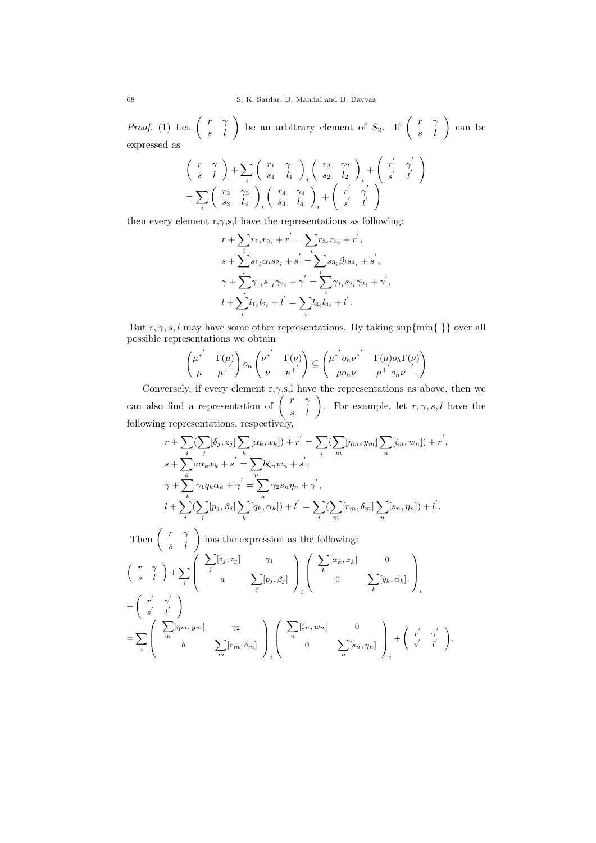*Proof.* (1) Let  $\begin{pmatrix} r & \gamma \\ s & l \end{pmatrix}$  be an arbitrary element of  $S_2$ . If  $\begin{pmatrix} r & \gamma \\ s & l \end{pmatrix}$  can be expressed as

$$
\begin{array}{c} \left(\begin{array}{cc} r & \gamma\\ s & l \end{array}\right) + \sum_i \left(\begin{array}{cc} r_1 & \gamma_1\\ s_1 & l_1 \end{array}\right)_i \left(\begin{array}{cc} r_2 & \gamma_2\\ s_2 & l_2 \end{array}\right)_i + \left(\begin{array}{cc} r' & \gamma'\\ s' & l' \end{array}\right)\\ = \sum_i \left(\begin{array}{cc} r_3 & \gamma_3\\ s_3 & l_3 \end{array}\right)_i \left(\begin{array}{cc} r_4 & \gamma_4\\ s_4 & l_4 \end{array}\right)_i + \left(\begin{array}{cc} r' & \gamma'\\ s' & l' \end{array}\right) \end{array}
$$

then every element r, $\gamma$ ,s,l have the representations as following:

$$
r + \sum_{i} r_{1_{i}} r_{2_{i}} + r^{'} = \sum_{i} r_{3_{i}} r_{4_{i}} + r^{'} ,
$$
  
\n
$$
s + \sum_{i} s_{1_{i}} \alpha_{i} s_{2_{i}} + s^{'} = \sum_{i} s_{3_{i}} \beta_{i} s_{4_{i}} + s^{'} ,
$$
  
\n
$$
\gamma + \sum_{i} \gamma_{1_{i}} s_{1_{i}} \gamma_{2_{i}} + \gamma^{'} = \sum_{i} \gamma_{1_{i}} s_{2_{i}} \gamma_{2_{i}} + \gamma^{'} ,
$$
  
\n
$$
l + \sum_{i} l_{1_{i}} l_{2_{i}} + l^{'} = \sum_{i} l_{3_{i}} l_{4_{i}} + l^{'} .
$$

But  $r, \gamma, s, l$  may have some other representations. By taking sup $\{\min\{\}\}$  over all possible representations we obtain

$$
\begin{pmatrix} \mu^{*'} & \Gamma(\mu) \\ \mu & \mu^{+'} \end{pmatrix} o_h \begin{pmatrix} \nu^{*'} & \Gamma(\nu) \\ \nu & \nu^{+'} \end{pmatrix} \subseteq \begin{pmatrix} \mu^{*'} o_h \nu^{*'} & \Gamma(\mu) o_h \Gamma(\nu) \\ \mu o_h \nu & \mu^{+'} o_h \nu^{+'} \end{pmatrix}
$$

Conversely, if every element r, $\gamma$ ,s,l have the representations as above, then we can also find a representation of  $\begin{pmatrix} r & \gamma \\ s & l \end{pmatrix}$ . For example, let  $r, \gamma, s, l$  have the following representations, respectively,

$$
r + \sum_{i} \left( \sum_{j} [\delta_j, z_j] \sum_{k} [\alpha_k, x_k] \right) + r' = \sum_{i} \left( \sum_{m} [\eta_m, y_m] \sum_{n} [\zeta_n, w_n] \right) + r',
$$
  
\n
$$
s + \sum_{k} a \alpha_k x_k + s' = \sum_{n} b \zeta_n w_n + s',
$$
  
\n
$$
\gamma + \sum_{k} \gamma_1 q_k \alpha_k + \gamma' = \sum_{n} \gamma_2 s_n \eta_n + \gamma',
$$
  
\n
$$
l + \sum_{i} \left( \sum_{j} [p_j, \beta_j] \sum_{k} [q_k, \alpha_k] \right) + l' = \sum_{i} \left( \sum_{m} [r_m, \delta_m] \sum_{n} [s_n, \eta_n] \right) + l'.
$$

Then 
$$
\begin{pmatrix} r & \gamma \\ s & l \end{pmatrix}
$$
 has the expression as the following:  
\n $\begin{pmatrix} r & \gamma \\ s & l \end{pmatrix} + \sum_{i} \begin{pmatrix} \sum_{j} [\delta_{j}, z_{j}] & \gamma_{1} \\ a & \sum_{j} [p_{j}, \beta_{j}] \end{pmatrix}_{i} \begin{pmatrix} \sum_{k} [\alpha_{k}, x_{k}] & 0 \\ 0 & \sum_{k} [q_{k}, \alpha_{k}] \end{pmatrix}_{i}$   
\n $+ \begin{pmatrix} r' & \gamma' \\ s' & l' \end{pmatrix}$   
\n $= \sum_{i} \begin{pmatrix} \sum_{m} [\eta_{m}, y_{m}] & \gamma_{2} \\ b & \sum_{m} [r_{m}, \delta_{m}] \end{pmatrix}_{i} \begin{pmatrix} \sum_{n} [\zeta_{n}, w_{n}] & 0 \\ 0 & \sum_{n} [s_{n}, \eta_{n}] \end{pmatrix}_{i} + \begin{pmatrix} r' & \gamma' \\ s' & l' \end{pmatrix}.$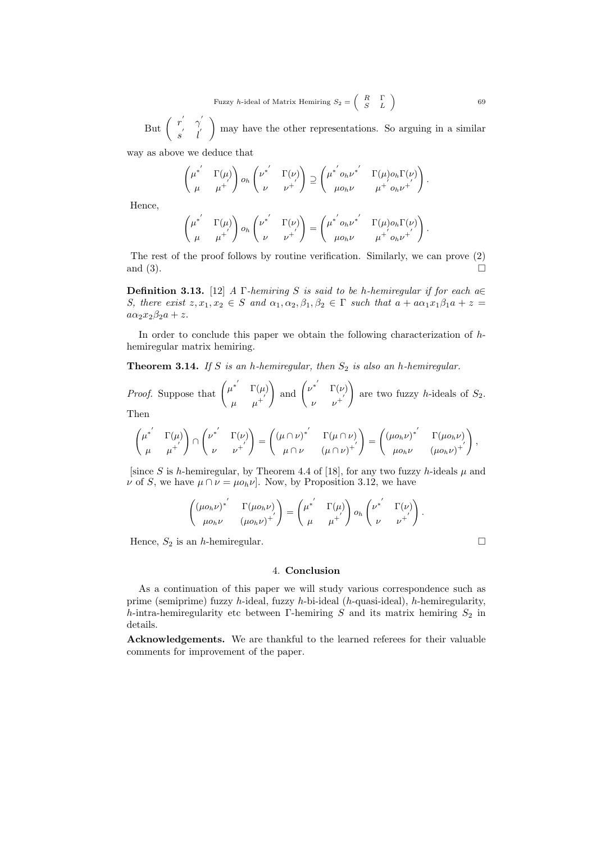But  $\begin{pmatrix} r' & \gamma' \\ r' & r' \end{pmatrix}$  $\begin{pmatrix} r' & \gamma' \\ s' & l' \end{pmatrix}$  may have the other representations. So arguing in a similar way as above we deduce that

$$
\begin{pmatrix} \mu^{*'} & \Gamma(\mu) \\ \mu & \mu^{+'} \end{pmatrix} o_h \begin{pmatrix} \nu^{*'} & \Gamma(\nu) \\ \nu & \nu^{+'} \end{pmatrix} \supseteq \begin{pmatrix} \mu^{*'} & \rho_h \nu^{*'} & \Gamma(\mu) o_h \Gamma(\nu) \\ \mu o_h \nu & \mu^{+'} o_h \nu^{+'} \end{pmatrix}.
$$

Hence,

$$
\begin{pmatrix} \mu^{*'} & \Gamma(\mu) \\ \mu & \mu^{+'} \end{pmatrix} o_h \begin{pmatrix} \nu^{*'} & \Gamma(\nu) \\ \nu & \nu^{+'} \end{pmatrix} = \begin{pmatrix} \mu^{*'} o_h \nu^{*'} & \Gamma(\mu) o_h \Gamma(\nu) \\ \mu o_h \nu & \mu^{+'} o_h \nu^{+'} \end{pmatrix}.
$$

The rest of the proof follows by routine verification. Similarly, we can prove (2) and  $(3)$ .

**Definition 3.13.** [12] A Γ-hemiring S is said to be h-hemiregular if for each  $a \in$ S, there exist  $z, x_1, x_2 \in S$  and  $\alpha_1, \alpha_2, \beta_1, \beta_2 \in \Gamma$  such that  $a + a\alpha_1x_1\beta_1a + z =$  $a\alpha_2x_2\beta_2a + z.$ 

In order to conclude this paper we obtain the following characterization of hhemiregular matrix hemiring.

**Theorem 3.14.** If S is an h-hemiregular, then  $S_2$  is also an h-hemiregular.

*Proof.* Suppose that  $\begin{pmatrix} \mu^{*'} & \Gamma(\mu) \\ 0 & \mu^{*'} \end{pmatrix}$  $\mu$   $\mu^+$ ) and  $\begin{pmatrix} \nu^{*'} & \Gamma(\nu) \\ 0 & \nu^{*'} \end{pmatrix}$  $\nu$   $\nu^{+}$  $\setminus$ are two fuzzy *h*-ideals of  $S_2$ . Then

$$
\begin{pmatrix} \mu^{*'} & \Gamma(\mu) \\ \mu & \mu^{+'} \end{pmatrix} \cap \begin{pmatrix} \nu^{*'} & \Gamma(\nu) \\ \nu & \nu^{+'} \end{pmatrix} = \begin{pmatrix} (\mu \cap \nu)^{*'} & \Gamma(\mu \cap \nu) \\ \mu \cap \nu & (\mu \cap \nu)^{+'} \end{pmatrix} = \begin{pmatrix} (\mu o_h \nu)^{*'} & \Gamma(\mu o_h \nu) \\ \mu o_h \nu & (\mu o_h \nu)^{+'} \end{pmatrix},
$$

[since S is h-hemiregular, by Theorem 4.4 of [18], for any two fuzzy h-ideals  $\mu$  and  $\nu$  of S, we have  $\mu \cap \nu = \mu o_h \nu$ . Now, by Proposition 3.12, we have

$$
\begin{pmatrix} (\mu o_h \nu)^{*'} & \Gamma(\mu o_h \nu) \\ \mu o_h \nu & (\mu o_h \nu)^{+'} \end{pmatrix} = \begin{pmatrix} \mu^{*'} & \Gamma(\mu) \\ \mu & \mu^{+'} \end{pmatrix} o_h \begin{pmatrix} \nu^{*'} & \Gamma(\nu) \\ \nu & \nu^{+'} \end{pmatrix}.
$$

Hence,  $S_2$  is an h-hemiregular.

### 4. Conclusion

As a continuation of this paper we will study various correspondence such as prime (semiprime) fuzzy h-ideal, fuzzy h-bi-ideal (h-quasi-ideal), h-hemiregularity, h-intra-hemiregularity etc between Γ-hemiring S and its matrix hemiring  $S_2$  in details.

Acknowledgements. We are thankful to the learned referees for their valuable comments for improvement of the paper.